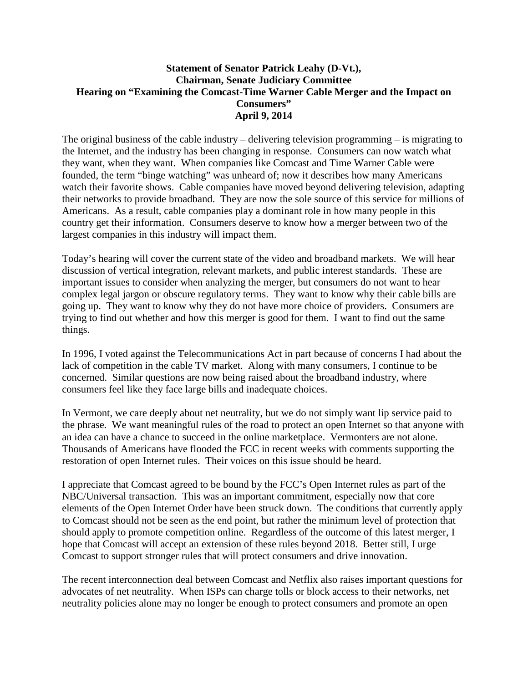## **Statement of Senator Patrick Leahy (D-Vt.), Chairman, Senate Judiciary Committee Hearing on "Examining the Comcast-Time Warner Cable Merger and the Impact on Consumers" April 9, 2014**

The original business of the cable industry – delivering television programming – is migrating to the Internet, and the industry has been changing in response. Consumers can now watch what they want, when they want. When companies like Comcast and Time Warner Cable were founded, the term "binge watching" was unheard of; now it describes how many Americans watch their favorite shows. Cable companies have moved beyond delivering television, adapting their networks to provide broadband. They are now the sole source of this service for millions of Americans. As a result, cable companies play a dominant role in how many people in this country get their information. Consumers deserve to know how a merger between two of the largest companies in this industry will impact them.

Today's hearing will cover the current state of the video and broadband markets. We will hear discussion of vertical integration, relevant markets, and public interest standards. These are important issues to consider when analyzing the merger, but consumers do not want to hear complex legal jargon or obscure regulatory terms. They want to know why their cable bills are going up. They want to know why they do not have more choice of providers. Consumers are trying to find out whether and how this merger is good for them. I want to find out the same things.

In 1996, I voted against the Telecommunications Act in part because of concerns I had about the lack of competition in the cable TV market. Along with many consumers, I continue to be concerned. Similar questions are now being raised about the broadband industry, where consumers feel like they face large bills and inadequate choices.

In Vermont, we care deeply about net neutrality, but we do not simply want lip service paid to the phrase. We want meaningful rules of the road to protect an open Internet so that anyone with an idea can have a chance to succeed in the online marketplace. Vermonters are not alone. Thousands of Americans have flooded the FCC in recent weeks with comments supporting the restoration of open Internet rules. Their voices on this issue should be heard.

I appreciate that Comcast agreed to be bound by the FCC's Open Internet rules as part of the NBC/Universal transaction. This was an important commitment, especially now that core elements of the Open Internet Order have been struck down. The conditions that currently apply to Comcast should not be seen as the end point, but rather the minimum level of protection that should apply to promote competition online. Regardless of the outcome of this latest merger, I hope that Comcast will accept an extension of these rules beyond 2018. Better still, I urge Comcast to support stronger rules that will protect consumers and drive innovation.

The recent interconnection deal between Comcast and Netflix also raises important questions for advocates of net neutrality. When ISPs can charge tolls or block access to their networks, net neutrality policies alone may no longer be enough to protect consumers and promote an open